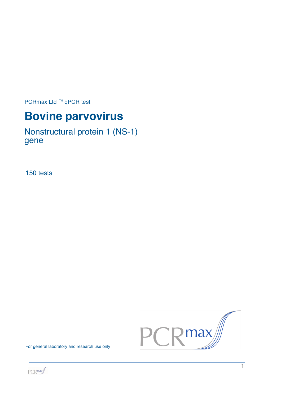PCRmax Ltd ™ qPCR test

# **Bovine parvovirus**

Nonstructural protein 1 (NS-1) gene

150 tests



For general laboratory and research use only

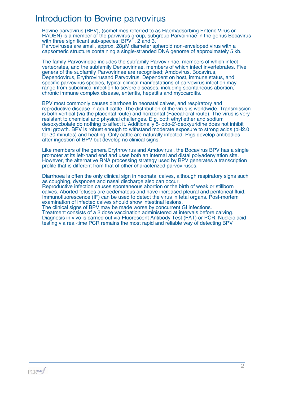# Introduction to Bovine parvovirus

Bovine parvovirus (BPV), (sometimes referred to as Haemadsorbing Enteric Virus or HADEN) is a member of the parvivirus group, subgroup Parvoirinae in the genus Bocavirus with three significant sub-species: BPV1, 2 and 3.

Parvoviruses are small, approx. 28μM diameter spheroid non-enveloped virus with a capsomeric structure containing a single-stranded DNA genome of approximately 5 kb.

The family Parvoviridae includes the subfamily Parvovirinae, members of which infect vertebrates, and the subfamily Densovirinae, members of which infect invertebrates. Five genera of the subfamily Parvovirinae are recognised; Amdovirus, Bocavirus, Dependovirus, Erythrovirusand Parvovirus. Dependent on host, immune status, and specific parvovirus species, typical clinical manifestations of parvovirus infection may range from subclinical infection to severe diseases, including spontaneous abortion, chronic immune complex disease, enteritis, hepatitis and myocarditis.

BPV most commonly causes diarrhoea in neonatal calves, and respiratory and reproductive disease in adult cattle. The distribution of the virus is worldwide. Transmission is both vertical (via the placental route) and horizontal (Faecal-oral route). The virus is very resistant to chemical and physical challenges. E.g. both ethyl ether and sodium desoxycbolate do nothing to affect it. Additionally 5-iodo-2'-deoxyuridine does not inhibit viral growth. BPV is robust enough to withstand moderate exposure to strong acids (pH2.0 for 30 minutes) and heating. Only cattle are naturally infected. Pigs develop antibodies after ingestion of BPV but develop no clinical signs.

Like members of the genera Erythrovirus and Amdovirus , the Bocavirus BPV has a single promoter at its left-hand end and uses both an internal and distal polyadenylation site. However, the alternative RNA processing strategy used by BPV generates a transcription profile that is different from that of other characterized parvoviruses.

Diarrhoea is often the only clinical sign in neonatal calves, although respiratory signs such as coughing, dyspnoea and nasal discharge also can occur. Reproductive infection causes spontaneous abortion or the birth of weak or stillborn calves. Aborted fetuses are oedematous and have increased pleural and peritoneal fluid. Immunofluorescence (IF) can be used to detect the virus in fetal organs. Post-mortem examination of infected calves should show intestinal lesions.

The clinical signs of BPV may be made worse by concurrent GI infections. Treatment consists of a 2 dose vaccination administered at intervals before calving. Diagnosis in vivo is carried out via Fluorescent Antibody Test (FAT) or PCR. Nucleic acid testing via real-time PCR remains the most rapid and reliable way of detecting BPV

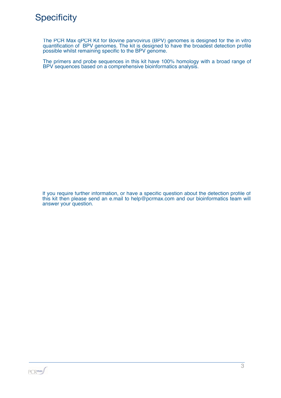

The PCR Max qPCR Kit for Bovine parvovirus (BPV) genomes is designed for the in vitro quantification of BPV genomes. The kit is designed to have the broadest detection profile possible whilst remaining specific to the BPV genome.

The primers and probe sequences in this kit have 100% homology with a broad range of BPV sequences based on a comprehensive bioinformatics analysis.

If you require further information, or have a specific question about the detection profile of this kit then please send an e.mail to help@pcrmax.com and our bioinformatics team will answer your question.

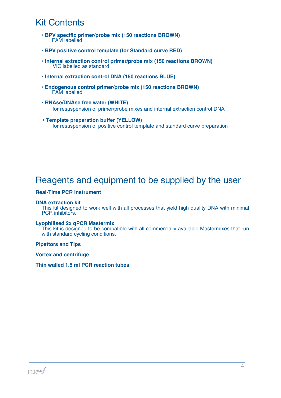# Kit Contents

- **BPV specific primer/probe mix (150 reactions BROWN)** FAM labelled
- **BPV positive control template (for Standard curve RED)**
- **Internal extraction control primer/probe mix (150 reactions BROWN)** VIC labelled as standard
- **Internal extraction control DNA (150 reactions BLUE)**
- **Endogenous control primer/probe mix (150 reactions BROWN)** FAM labelled
- **RNAse/DNAse free water (WHITE)** for resuspension of primer/probe mixes and internal extraction control DNA
- **Template preparation buffer (YELLOW)** for resuspension of positive control template and standard curve preparation

# Reagents and equipment to be supplied by the user

#### **Real-Time PCR Instrument**

#### **DNA extraction kit**

This kit designed to work well with all processes that yield high quality DNA with minimal PCR inhibitors.

#### **Lyophilised 2x qPCR Mastermix**

This kit is designed to be compatible with all commercially available Mastermixes that run with standard cycling conditions.

**Pipettors and Tips**

**Vortex and centrifuge**

**Thin walled 1.5 ml PCR reaction tubes**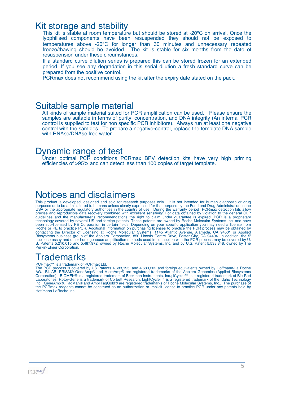### Kit storage and stability

This kit is stable at room temperature but should be stored at -20°C on arrival. Once the lyophilised components have been resuspended they should not be exposed to temperatures above -20ºC for longer than 30 minutes and unnecessary repeated freeze/thawing should be avoided. The kit is stable for six months from the date of resuspension under these circumstances.

If a standard curve dilution series is prepared this can be stored frozen for an extended period. If you see any degradation in this serial dilution a fresh standard curve can be prepared from the positive control.

PCRmax does not recommend using the kit after the expiry date stated on the pack.

### Suitable sample material

All kinds of sample material suited for PCR amplification can be used. Please ensure the samples are suitable in terms of purity, concentration, and DNA integrity (An internal PCR control is supplied to test for non specific PCR inhibitors). Always run at least one negative control with the samples. To prepare a negative-control, replace the template DNA sample with RNAse/DNAse free water.

### Dynamic range of test

Under optimal PCR conditions PCRmax BPV detection kits have very high priming efficiencies of >95% and can detect less than 100 copies of target template.

# Notices and disclaimers

This product is developed, designed and sold for research purposes only. It is not intended for human diagnostic or drug purposes or to be administered to humans unless clearly expressed for that purpose by the Food and Drug Administration in the USA or the appropriate regulatory authorities in the country of use. During the warranty period PCRmax detection kits allow precise and reproducible data recovery combined with excellent sensitivity. For data obtained by violation to the general GLP guidelines and the manufacturer's recommendations the right to claim under guarantee is expired. PCR is a proprietary technology covered by several US and foreign patents. These patents are owned by Roche Molecular Systems Inc. and have been sub-licensed by PE Corporation in certain fields. Depending on your specific application you may need a license from Roche or PE to practice PCR. Additional information on purchasing licenses to practice the PCR process may be obtained by contacting the Director of Licensing at Roche Molecular Systems, 1145 Atlantic Avenue, Alameda, CA 94501 or Applied Biosystems business group of the Applera Corporation, 850 Lincoln Centre Drive, Foster City, CA 94404. In addition, the 5' nuclease assay and other homogeneous amplification methods used in connection with the PCR process may be covered by U. S. Patents 5,210,015 and 5,487,972, owned by Roche Molecular Systems, Inc, and by U.S. Patent 5,538,848, owned by The Perkin-Elmer Corporation.

# Trademarks

#### PCRmax<sup>™</sup> is a trademark of PCRmax Ltd.

The PCR process is covered by US Patents 4,683,195, and 4,683,202 and foreign equivalents owned by Hoffmann-La Roche AG. BI, ABI PRISM® GeneAmp® and MicroAmp® are registered trademarks of the Applera Genomics (Applied Biosystems Corporation). BIOMEK® is a registered trademark of Beckman Instruments, Inc.; iCycler™ is a registered trademark of Bio-Rad Laboratories, Rotor-Gene is a trademark of Corbett Research. LightCycler™ is a registered trademark of the Idaho Technology Inc. GeneAmp®, TaqMan® and AmpliTaqGold® are registered trademarks of Roche Molecular Systems, Inc., The purchase of the PCRmax reagents cannot be construed as an authorization or implicit license to practice PCR under any patents held by Hoffmann-LaRoche Inc.

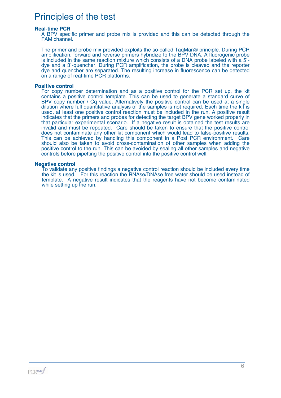# Principles of the test

#### **Real-time PCR**

A BPV specific primer and probe mix is provided and this can be detected through the FAM channel.

The primer and probe mix provided exploits the so-called TaqMan® principle. During PCR amplification, forward and reverse primers hybridize to the BPV DNA. A fluorogenic probe is included in the same reaction mixture which consists of a DNA probe labeled with a 5` dye and a 3`-quencher. During PCR amplification, the probe is cleaved and the reporter dye and quencher are separated. The resulting increase in fluorescence can be detected on a range of real-time PCR platforms.

#### **Positive control**

For copy number determination and as a positive control for the PCR set up, the kit contains a positive control template. This can be used to generate a standard curve of BPV copy number / Cq value. Alternatively the positive control can be used at a single dilution where full quantitative analysis of the samples is not required. Each time the kit is used, at least one positive control reaction must be included in the run. A positive result indicates that the primers and probes for detecting the target BPV gene worked properly in that particular experimental scenario. If a negative result is obtained the test results are invalid and must be repeated. Care should be taken to ensure that the positive control does not contaminate any other kit component which would lead to false-positive results. This can be achieved by handling this component in a Post PCR environment. Care should also be taken to avoid cross-contamination of other samples when adding the positive control to the run. This can be avoided by sealing all other samples and negative controls before pipetting the positive control into the positive control well.

#### **Negative control**

To validate any positive findings a negative control reaction should be included every time the kit is used. For this reaction the RNAse/DNAse free water should be used instead of template. A negative result indicates that the reagents have not become contaminated while setting up the run.

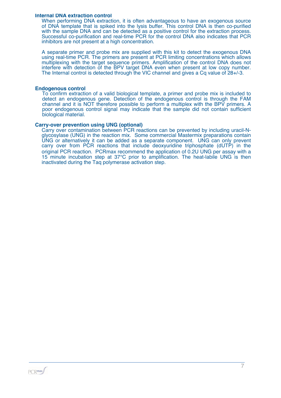#### **Internal DNA extraction control**

When performing DNA extraction, it is often advantageous to have an exogenous source of DNA template that is spiked into the lysis buffer. This control DNA is then co-purified with the sample DNA and can be detected as a positive control for the extraction process. Successful co-purification and real-time PCR for the control DNA also indicates that PCR inhibitors are not present at a high concentration.

A separate primer and probe mix are supplied with this kit to detect the exogenous DNA using real-time PCR. The primers are present at PCR limiting concentrations which allows multiplexing with the target sequence primers. Amplification of the control DNA does not interfere with detection of the BPV target DNA even when present at low copy number. The Internal control is detected through the VIC channel and gives a Cq value of 28+/-3.

#### **Endogenous control**

To confirm extraction of a valid biological template, a primer and probe mix is included to detect an endogenous gene. Detection of the endogenous control is through the FAM channel and it is NOT therefore possible to perform a multiplex with the BPV primers. A poor endogenous control signal may indicate that the sample did not contain sufficient biological material.

#### **Carry-over prevention using UNG (optional)**

Carry over contamination between PCR reactions can be prevented by including uracil-Nglycosylase (UNG) in the reaction mix. Some commercial Mastermix preparations contain UNG or alternatively it can be added as a separate component. UNG can only prevent carry over from PCR reactions that include deoxyuridine triphosphate (dUTP) in the original PCR reaction. PCRmax recommend the application of 0.2U UNG per assay with a 15 minute incubation step at 37°C prior to amplification. The heat-labile UNG is then inactivated during the Taq polymerase activation step.

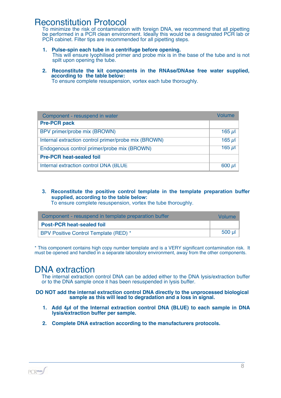## Reconstitution Protocol

To minimize the risk of contamination with foreign DNA, we recommend that all pipetting be performed in a PCR clean environment. Ideally this would be a designated PCR lab or PCR cabinet. Filter tips are recommended for all pipetting steps.

- **1. Pulse-spin each tube in a centrifuge before opening.** This will ensure lyophilised primer and probe mix is in the base of the tube and is not spilt upon opening the tube.
- **2. Reconstitute the kit components in the RNAse/DNAse free water supplied, according to the table below:**

To ensure complete resuspension, vortex each tube thoroughly.

| Component - resuspend in water                       | Volume    |
|------------------------------------------------------|-----------|
| <b>Pre-PCR pack</b>                                  |           |
| BPV primer/probe mix (BROWN)                         | 165 $\mu$ |
| Internal extraction control primer/probe mix (BROWN) | 165 $\mu$ |
| Endogenous control primer/probe mix (BROWN)          | $165 \mu$ |
| <b>Pre-PCR heat-sealed foil</b>                      |           |
| Internal extraction control DNA (BLUE                | $600 \mu$ |

**3. Reconstitute the positive control template in the template preparation buffer supplied, according to the table below:**

To ensure complete resuspension, vortex the tube thoroughly.

| Component - resuspend in template preparation buffer |        |  |
|------------------------------------------------------|--------|--|
| <b>Post-PCR heat-sealed foil</b>                     |        |  |
| BPV Positive Control Template (RED) *                | 500 µl |  |

\* This component contains high copy number template and is a VERY significant contamination risk. It must be opened and handled in a separate laboratory environment, away from the other components.

### DNA extraction

The internal extraction control DNA can be added either to the DNA lysis/extraction buffer or to the DNA sample once it has been resuspended in lysis buffer.

**DO NOT add the internal extraction control DNA directly to the unprocessed biological sample as this will lead to degradation and a loss in signal.**

- **1. Add 4µl of the Internal extraction control DNA (BLUE) to each sample in DNA lysis/extraction buffer per sample.**
- **2. Complete DNA extraction according to the manufacturers protocols.**

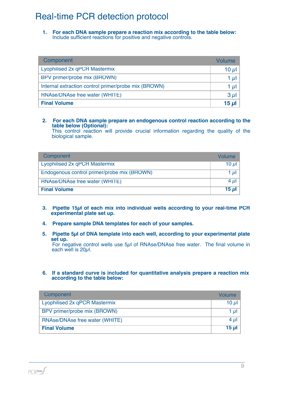# Real-time PCR detection protocol

**1. For each DNA sample prepare a reaction mix according to the table below:** Include sufficient reactions for positive and negative controls.

| Component                                            | <b>Volume</b> |
|------------------------------------------------------|---------------|
| Lyophilised 2x qPCR Mastermix                        | 10 $\mu$      |
| BPV primer/probe mix (BROWN)                         | 1 $\mu$       |
| Internal extraction control primer/probe mix (BROWN) | 1 $\mu$       |
| RNAse/DNAse free water (WHITE)                       | $3 \mu$       |
| <b>Final Volume</b>                                  | 15 $\mu$ l    |

#### **2. For each DNA sample prepare an endogenous control reaction according to the table below (Optional):**

This control reaction will provide crucial information regarding the quality of the biological sample.

| Component                                   | <b>Volume</b> |
|---------------------------------------------|---------------|
| Lyophilised 2x qPCR Mastermix               | 10 $\mu$      |
| Endogenous control primer/probe mix (BROWN) | 1 µI          |
| RNAse/DNAse free water (WHITE)              | $4 \mu$       |
| <b>Final Volume</b>                         | 15 ul         |

- **3. Pipette 15µl of each mix into individual wells according to your real-time PCR experimental plate set up.**
- **4. Prepare sample DNA templates for each of your samples.**
- **5. Pipette 5µl of DNA template into each well, according to your experimental plate set up.**

For negative control wells use 5µl of RNAse/DNAse free water. The final volume in each well is  $20\mu$ .

#### **6. If a standard curve is included for quantitative analysis prepare a reaction mix according to the table below:**

| Component                      | Volume     |
|--------------------------------|------------|
| Lyophilised 2x qPCR Mastermix  | 10 $\mu$   |
| BPV primer/probe mix (BROWN)   | 1 µI       |
| RNAse/DNAse free water (WHITE) | $4 \mu$    |
| <b>Final Volume</b>            | 15 $\mu$ l |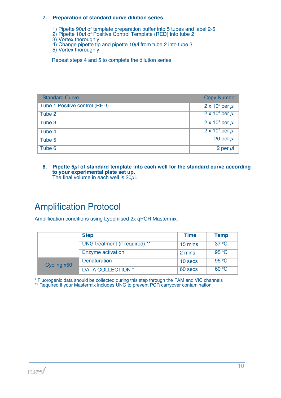#### **7. Preparation of standard curve dilution series.**

- 1) Pipette 90µl of template preparation buffer into 5 tubes and label 2-6
- 2) Pipette 10µl of Positive Control Template (RED) into tube 2
- 3) Vortex thoroughly
- 4) Change pipette tip and pipette 10µl from tube 2 into tube 3
- 5) Vortex thoroughly

Repeat steps 4 and 5 to complete the dilution series

| <b>Standard Curve</b>         | <b>Copy Number</b>        |
|-------------------------------|---------------------------|
| Tube 1 Positive control (RED) | $2 \times 10^5$ per µl    |
| Tube 2                        | $2 \times 10^4$ per µl    |
| Tube 3                        | $2 \times 10^3$ per $\mu$ |
| Tube 4                        | $2 \times 10^2$ per µl    |
| Tube 5                        | 20 per $\mu$              |
| Tube 6                        | 2 per $\mu$               |

#### **8. Pipette 5µl of standard template into each well for the standard curve according to your experimental plate set up.** The final volume in each well is 20 $\mu$ l.

# Amplification Protocol

Amplification conditions using Lyophilsed 2x qPCR Mastermix.

|             | <b>Step</b>                    | <b>Time</b> | <b>Temp</b>    |
|-------------|--------------------------------|-------------|----------------|
|             | UNG treatment (if required) ** | 15 mins     | $37^{\circ}$ C |
|             | <b>Enzyme activation</b>       | 2 mins      | 95 °C          |
| Cycling x50 | <b>Denaturation</b>            | 10 secs     | 95 °C          |
|             | <b>DATA COLLECTION *</b>       | 60 secs     | 60 °C          |

\* Fluorogenic data should be collected during this step through the FAM and VIC channels \*\* Required if your Mastermix includes UNG to prevent PCR carryover contamination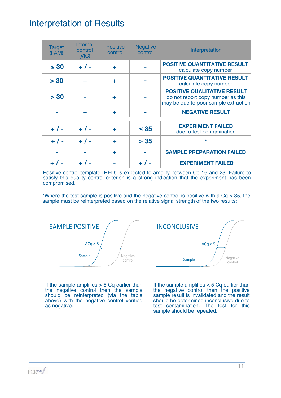# Interpretation of Results

| <b>Target</b><br>(FAM) | <b>Internal</b><br>control<br>(NIC) | <b>Positive</b><br>control | <b>Negative</b><br>control | Interpretation                                                                                                  |
|------------------------|-------------------------------------|----------------------------|----------------------------|-----------------------------------------------------------------------------------------------------------------|
| $\leq 30$              | $+ 1 -$                             | ÷                          |                            | <b>POSITIVE QUANTITATIVE RESULT</b><br>calculate copy number                                                    |
| > 30                   | ÷                                   | ٠                          |                            | <b>POSITIVE QUANTITATIVE RESULT</b><br>calculate copy number                                                    |
| > 30                   |                                     | ÷                          |                            | <b>POSITIVE QUALITATIVE RESULT</b><br>do not report copy number as this<br>may be due to poor sample extraction |
|                        | ÷                                   | ÷                          |                            | <b>NEGATIVE RESULT</b>                                                                                          |
| $+ 1 -$                | $+ 1 -$                             | ÷                          | $\leq$ 35                  | <b>EXPERIMENT FAILED</b><br>due to test contamination                                                           |
| $+ 1 -$                | $+ 1 -$                             | ÷                          | > 35                       | $\star$                                                                                                         |
|                        |                                     | ÷                          |                            | <b>SAMPLE PREPARATION FAILED</b>                                                                                |
|                        |                                     |                            |                            | <b>EXPERIMENT FAILED</b>                                                                                        |

Positive control template (RED) is expected to amplify between Cq 16 and 23. Failure to satisfy this quality control criterion is a strong indication that the experiment has been compromised.

\*Where the test sample is positive and the negative control is positive with a  $Cq > 35$ , the sample must be reinterpreted based on the relative signal strength of the two results:



If the sample amplifies  $> 5$  Cq earlier than the negative control then the sample should be reinterpreted (via the table above) with the negative control verified as negative.

| <b>INCONCLUSIVE</b> |                     |
|---------------------|---------------------|
|                     | $\Delta Cq < 5$     |
| Sample              | Negative<br>control |
|                     |                     |

If the sample amplifies  $< 5$  Cq earlier than the negative control then the positive sample result is invalidated and the result should be determined inconclusive due to test contamination. The test for this sample should be repeated.

**PCRmax**